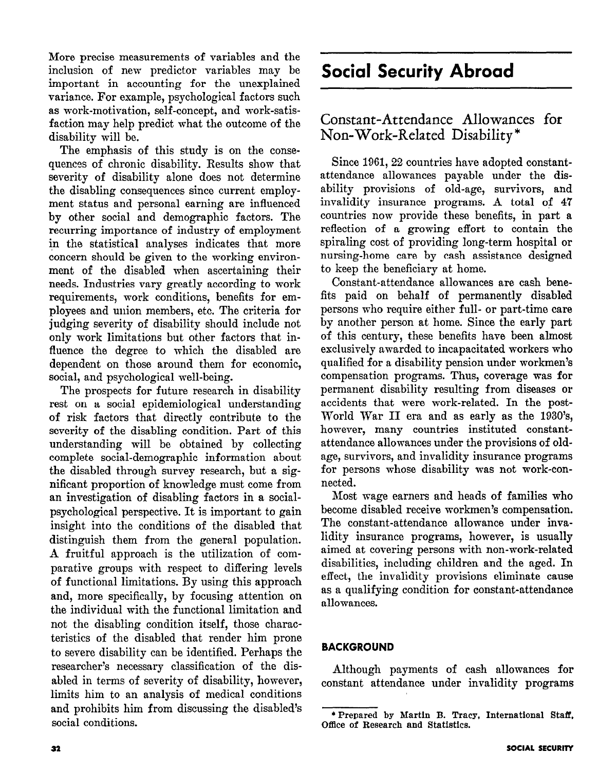More precise measurements of variables and the inclusion of new predictor variables may be important in accounting for the unexplained variance. For example, psychological factors such as work-motivation, self-concept, and work-satisfaction may help predict what the outcome of the disability will be.

The emphasis of this study is on the consequences of chronic disability. Results show that severity of disability alone does not determine the disabling consequences since current employment status and personal earning are influenced by other social and demographic factors. The recurring importance of industry of employment in the statistical analyses indicates that more concern should be given to the working environment of the disabled when ascertaining their needs. Industries vary greatly according to work requirements, work conditions, benefits for employees and union members, etc. The criteria for judging severity of disability should include not only work limitations but other factors that influence the degree to which the disabled are dependent on those around them for economic, social, and psychological well-being.

The prospects for future research in disability rest on a social epidemiological understanding of risk factors that directly contribute to the severity of the disabling condition. Part of this understanding will be obtained by collecting complete social-demographic information about the disabled through survey research, but a significant proportion of knowledge must come from an investigation of disabling factors in a socialpsychological perspective. It is important to gain insight into the conditions of the disabled that distinguish them from the general population. A fruitful approach is the utilization of comparative groups with respect to differing levels of functional limitations. By using this approach and, more specifically, by focusing attention on the individual with the functional limitation and not the disabling condition itself, those characteristics of the disabled that render him prone to severe disability can be identified. Perhaps the researcher's necessary classification of the disabled in terms of severity of disability, however, limits him to an analysis of medical conditions and prohibits him from discussing the disabled's social conditions.

# Social Security Abroad

## Constant-Attendance Allowances for Non-Work-Related Disability \*

Since 1961, 22 countries have adopted constantattendance allowances payable under the disability provisions of old-age, survivors, and invalidity insurance programs. A total of 47 countries now provide these benefits, in part a reflection of a growing effort to contain the spiraling cost of providing long-term hospital or nursing-home care by cash assistance designed to keep the beneficiary at home.

Constant-attendance allowances are cash benefits paid on behalf of permanently disabled persons who require either full- or part-time care by another person at home. Since the early part of this century, these benefits have been almost exclusively awarded to incapacitated workers who qualified for a disability pension under workmen's compensation programs. Thus, coverage was for permanent disability resulting from diseases or accidents that were work-related. In the post-World War II era and as early as the 1930's, however, many countries instituted constantattendance allowances under the provisions of oldage, survivors, and invalidity insurance programs for persons whose disability was not work-connected.

Most wage earners and heads of families who become disabled receive workmen's compensation. The constant-attendance allowance under invalidity insurance programs, however, is usually aimed at covering persons with non-work-related disabilities, including children and the aged. In effect, the invalidity provisions eliminate cause as a qualifying condition for constant-attendance allowances.

### BACKGROUND

Although payments of cash allowances for constant attendance under invalidity programs

<sup>\*</sup>Prepared by Martin B. Tracy, International Staff, Office of Research and Statistics.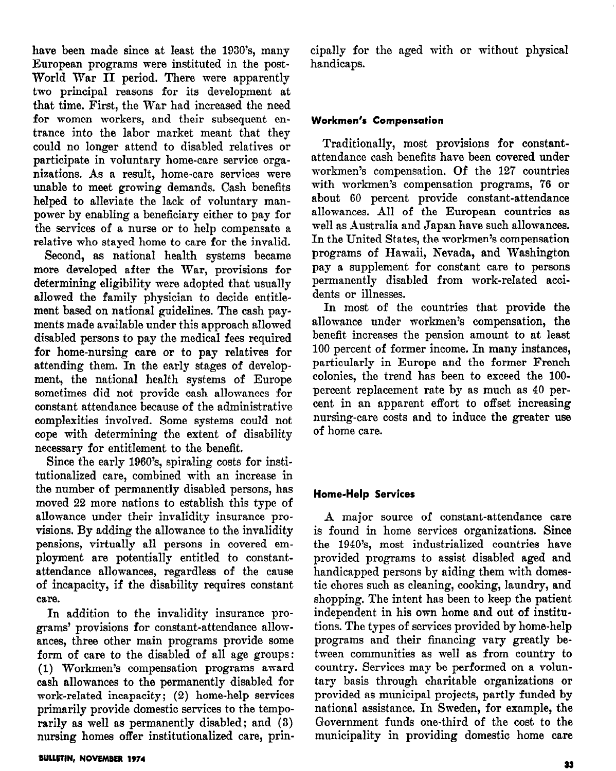have been made since at least the 1930's, many European programs were instituted in the post-World War II period. There were apparently two principal reasons for its development at that time. First, the War had increased the need for women workers, and their subsequent entrance into the labor market meant that they could no longer attend to disabled relatives or participate in voluntary home-care service organizations. As a result, home-care services were unable to meet growing demands. Cash benefits helped to alleviate the lack of voluntary manpower by enabling a beneficiary either to pay for the services of a nurse or to help compensate a relative who stayed home to care for the invalid.

Second, as national health systems became more developed after the War, provisions for determining eligibility were adopted that usually alIowed the family physician to decide entitlement based on national guidelines. The cash payments made available under this approach allowed disabled persons to pay the medical fees required for home-nursing care or to pay relatives for attending them. In the early stages of development, the national health systems of Europe sometimes did not provide cash allowances for constant attendance because of the administrative complexities involved. Some systems could not cope with determining the extent of disability necessary for entitlement to the benefit.

Since the early 1960's, spiraling costs for institutionalized care, combined with an increase in the number of permanently disabled persons, has moved 22 more nations to establish this type of allowance under their invalidity insurance provisions. By adding the allowance to the invalidity pensions, virtually all persons in covered employment are potentially entitled to constantattendance allowances, regardless of the cause of incapacity, if the disability requires constant care.

In addition to the invalidity insurance programs' provisions for constant-attendance allowances, three other main programs provide some form of care to the disabled of all age groups: (1) Workmen's compensation programs award cash allowances to the permanently disabled for work-related incapacity; (2) home-help services primarily provide domestic services to the temporarily as well as permanently disabled; and (3) nursing homes offer institutionalized care, principally for the aged with or without physical handicaps.

#### Workmen's Compensation

Traditionally, most provisions for constantattendance cash benefits have been covered under workmen's compensation. Of the 127 countries with workmen's compensation programs, '76 or about 60 percent provide constant-attendance allowances. All of the European countries as well as Australia and Japan have such allowances. In the United States, the workmen's compensation programs of Hawaii, Nevada, and Washington pay a supplement for constant care to persons permanently disabled from work-related accidents or illnesses.

In most of the countries that provide the allowance under workmen's compensation, the benefit increases the pension amount to at least 100 percent of former income. In many instances, particularly in Europe and the former French colonies, the trend has been to exceed the lOOpercent replacement rate by as much as 40 percent in an apparent effort to offset increasing nursing-care costs and to induce the greater use of home care.

#### Home-Help Services

A major source of constant-attendance care is found in home services organizations. Since the 1940's, most industrialized countries have provided programs to assist disabled aged and handicapped persons by aiding them with domestic chores such as cleaning, cooking, laundry, and shopping. The intent has been to keep the patient independent in his own home and out of institutions. The types of services provided by home-help programs and their financing vary greatly between communities as well as from country to country. Services may be performed on a voluntary basis through charitable organizations or provided as municipal projects, partly funded by national assistance. In Sweden, for example, the Government funds one-third of the cost to the municipality in providing domestic home care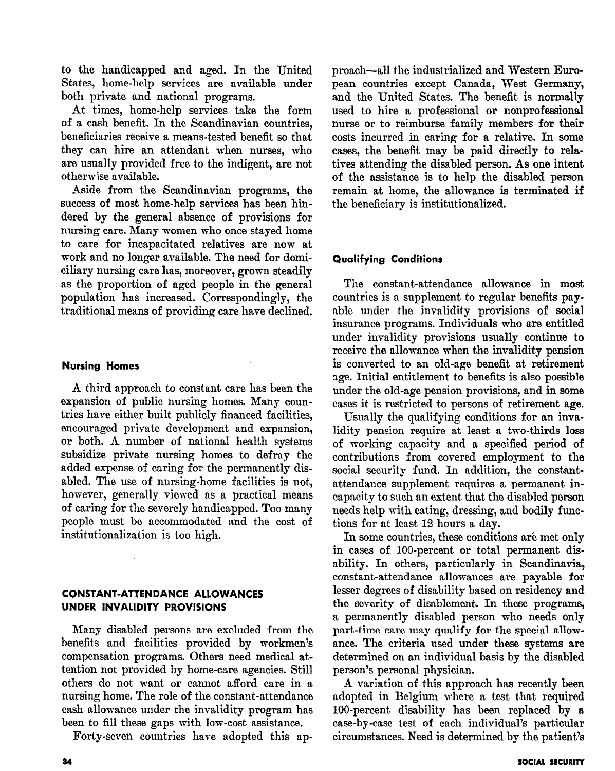to the handicapped and aged. In the United States, home-help services are available under both private and national programs.

At times, home-help services take the form of a cash benefit. In the Scandinavian countries, beneficiaries receive a means-tested benefit so that they can hire an attendant when nurses, who are usually provided free to the indigent, are not otherwise available.

Aside from the Scandinavian programs, the success of most home-help services has been hindered by the general absence of provisions for nursing care. Many women who once stayed home to care for incapacitated relatives are now at work and no longer available. The need for domiciliary nursing care has, moreover, grown steadily as the proportion of aged people in the general population has increased. Correspondingly, the traditional means of providing care have declined.

#### Nursing Homes

A third approach to constant care has been the expansion of public nursing homes. Many countries have either built publicly financed facilities, encouraged private development and expansion, or both. A number of national health systems subsidize private nursing homes to defray the added expense of caring for the permanently disabled. The use of nursing-home facilities is not, however, generally viewed as a practical means of caring for the severely handicapped. Too many people must be accommodated and the cost of institutionalization is too high.

### CONSTANT-ATTENDANCE ALLOWANCES UNDER INVALIDITY PROVISIONS

Many disabled persons are excluded from the benefits and facilities provided by workmen's compensation programs. Others need medical attention not provided by home-care agencies. Still others do not want or cannot afford care in a nursing home. The role of the constant-attendance cash allowance under the invalidity program has been to fill these gaps with low-cost assistance.

Forty-seven countries have adopted this ap-

proach-all the industrialized and Western European countries except Canada, West Germany, and the United States. The benefit is normally used to hire a professional or nonprofessional nurse or to reimburse family members for their costs incurred in caring for a relative. In some cases, the benefit may be paid directly to relatives attending the disabled person. As one intent of the assistance is to help the disabled person remain at home, the allowance is terminated if the beneficiary is institutionalized,

### Qualifying Conditions

The constant-attendance allowance in most countries is a supplement to regular benefits payable under the invalidity provisions of social insurance programs. Individuals who are entitled under invalidity provisions usually continue to receive the allowance when the invalidity pension is converted to an old-age benefit at retirement age. Initial entitlement to benefits is also possible under the old-age pension provisions, and in some cases it is restricted to persons of retirement age.

Usually the qualifying conditions for an invalidity pension require at least a two-thirds loss of working capacity and a specified period of contributions from covered employment to the social security fund. In addition, the constantattendance supplement requires a permanent incapacity to such an extent that the disabled person needs help with eating, dressing, and bodily functions for at least 12 hours a day.

In some countries, these conditions are met only in cases of 100-percent or total permanent disability. In others, particularly in Scandinavia, constant-attendance allowances are payable for lesser degrees of disability based on residency and the severity of disablement. In these programs, a permanently disabled person who needs only part-time care may qualify for the special allowance. The criteria used under these systems are determined on an individual basis by the disabled person's personal physician.

A variation of this approach has recently been adopted in Belgium where a test that required 100-percent disability has been replaced by a case-by-case test of each individual's particular circumstances. Need is determined by the patient's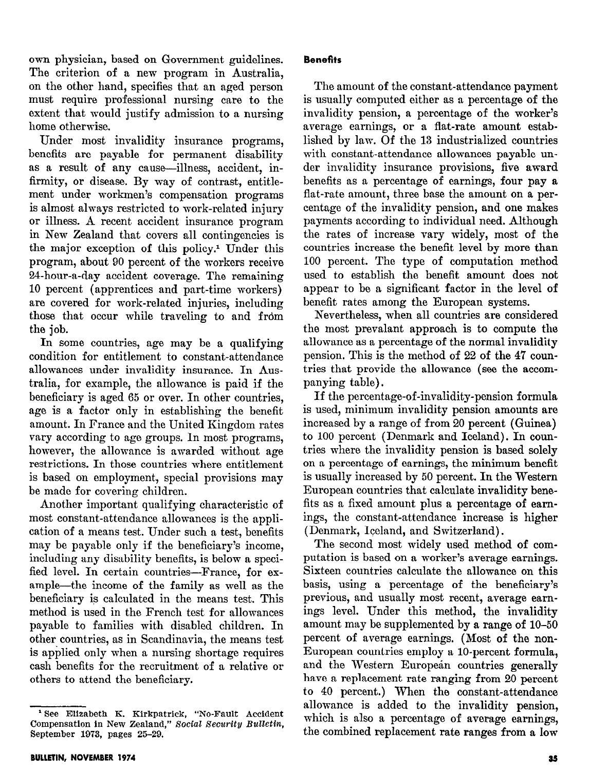own physician, based on Government guidelines. The criterion of a new program in Australia, on the other hand, specifies that an aged person must require professional nursing care to the extent that would justify admission to a nursing home otherwise.

Under most invalidity insurance programs, benefits are payable for permanent disability as a result of any cause—illness, accident, infirmity, or disease. By way of contrast, entitlement under workmen's compensation programs is almost always restricted to work-related injury or illness. A recent accident insurance program in New Zealand that covers all contingencies is the major exception of this policy.<sup>1</sup> Under this program, about 90 percent of the workers receive 24-hour-a-day accident coverage. The remaining 10 percent (apprentices and part-time workers) are covered for work-related injuries, including those that occur while traveling to and from the job.

In some countries, age may be a qualifying condition for entitlement to constant-attendance allowances under invalidity insurance. In Australia, for example, the allowance is paid if the beneficiary is aged 65 or over. In other countries, age is a factor only in establishing the benefit amount. In France and the United Kingdom rates vary according to age groups. In most programs, however, the allowance is awarded without age restrictions. In those countries where entitlement is based on employment, special provisions may be made for covering children.

Another important qualifying characteristic of most constant-attendance allowances is the application of a means test. Under such a test, benefits may be payable only if the beneficiary's income, including any disability benefits, is below a specified level. In certain countries-France, for example-the income of the family as well as the beneficiary is calculated in the means test. This method is used in the French test for allowances payable to families with disabled children. In other countries, as in Scandinavia, the means test is applied only when a nursing shortage requires cash benefits for the recruitment of a relative or others to attend the beneficiary.

The amount of the constant-attendance payment is usually computed either as a percentage of the invalidity pension, a percentage of the worker's average earnings, or a flat-rate amount established by law. Of the 13 industrialized countries with constant-attendance allowances payable under invalidity insurance provisions, five award benefits as a percentage of earnings, four pay a flat-rate amount, three base the amount on a percentage of the invalidity pension, and one makes payments according to individual need. Although the rates of increase vary widely, most of the countries increase the benefit level by more than 100 percent. The type of computation method used to establish the benefit amount does not appear to be a significant factor in the level of benefit rates among the European systems.

Nevertheless, when all countries are considered the most prevalant approach is to compute the allowance as a percentage of the normal invalidity pension. This is the method of 22 of the 47 countries that provide the allowance (see the accompanying table).

If the percentage-of-invalidity-pension formula is used, minimum invalidity pension amounts are increased by a range of from 20 percent (Guinea) to 100 percent (Denmark and Iceland). In countries where the invalidity pension is based solely on a percentage of earnings, the minimum benefit is usually increased by 50 percent. In the Western European countries that calculate invalidity benefits as a fixed amount plus a percentage of earnings, the constant-attendance increase is higher (Denmark, Iceland, and Switzerland).

The second most widely used method of computation is based on a worker's average earnings. Sixteen countries calculate the allowance on this basis, using a percentage of the beneficiary's previous, and usually most recent, average earnings level. Under this method, the invalidity amount may be supplemented by a range of 10-50 percent of average earnings. (Most of the non-European countries employ a lo-percent formula, and the Western European countries generally have a replacement rate ranging from 20 percent to 40 percent.) When the constant-attendance allowance is added to the invalidity pension, which is also a percentage of average earnings, the combined replacement rate ranges from a low

<sup>&#</sup>x27; See Elizabeth K. Kirkpatrick, "No-Fault Accident Compensation in New Zealand," Social Security Bulletin, September 1973, pages 25-29.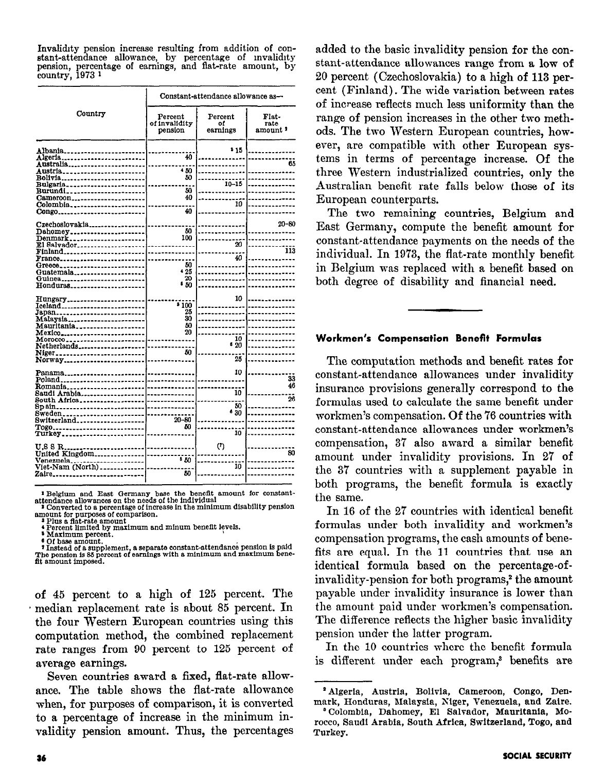meaning pension increase resulting from addition of constant-attendance allowance, by percentage of invalidity pension, percentage of earnings, and flat-rate amount, by country, 1973<sup>1</sup>

|                                                                                                                                                            | Constant-attendance allowance as-   |                           |                                      |
|------------------------------------------------------------------------------------------------------------------------------------------------------------|-------------------------------------|---------------------------|--------------------------------------|
| Country                                                                                                                                                    | Percent<br>of invalidity<br>pension | Percent<br>٥f<br>earnings | Flat-<br>rate<br>amount <sup>2</sup> |
| Albania.<br>Algeria<br>Australia <sub>-----</sub> ---------------<br>Austria                                                                               | 40<br>4.50                          | 515                       | 65                                   |
| $Bolivia$<br>Bulgaria<br>Cameroon<br>$Colombia$ <sub>-------------</sub>                                                                                   | 50<br>50<br>40                      | $10 - 15$<br>10           |                                      |
| Congo<br>Czechoslovakia_<br>$Dahomey$ <sub>--------------</sub>                                                                                            | 40<br>50<br>100                     |                           | $20 - 80$                            |
| Denmark<br>$E1$ Salvador<br>Find<br>$\mathbf{France}_{\text{max}}$<br>Greece                                                                               | 50                                  | 20<br>40                  | 113                                  |
| Guatemala <sub>------</sub><br>Guinea<br>Honduras <sub>--------</sub>                                                                                      | 425<br>20<br>50                     | 10                        |                                      |
| $Hungary$ <sub>--------------</sub><br>Iceland_________________________<br>Japan<br>Malaysia <sub>-----</sub> ----------------<br>Mauritania______________ | 100<br>25<br>30<br>50               |                           |                                      |
| Mexico<br>Morocco<br>Netherlands<br>Niger______________________                                                                                            | 20<br>50                            | 10<br>620<br>25           |                                      |
| Norway<br>Panama.<br>Poland<br>-----<br>Romania                                                                                                            |                                     | 10                        | 33<br>46                             |
| Saudi Arabia<br>South Africa<br>Sp ain<br>Sweden <sub>------</sub> -------------------<br>Switzerland                                                      | $20 - 80$                           | 10<br>50<br>•30           | $\overline{26}$                      |
| Togo<br>Turkey<br>U.S S R                                                                                                                                  | 50                                  | 10<br>(7)                 | 80                                   |
| United Kingdom<br>Venezuela<br>Viet-Nam (North)<br>Zaire_                                                                                                  | 50<br>50                            | 10                        |                                      |

 $\begin{smallmatrix} \textbf{1} & \textbf{Belgium} & \textbf{and} & \textbf{East Germany} \text{ base the benefit amount for constant-} \\ \textbf{attendance allows one the needs of the individual \\ \textbf{1} & \textbf{Converted to a percentage of increase in the minimum disability pension} \\ \textbf{amount for purposes of comparison.} \end{smallmatrix}$ 

<sup>8</sup> Maximum percent.

Thrasmanum Formation of a supplement, a separate constant-attendance pension is paid<br>
I Instead of a supplement, a separate constant-attendance pension is paid<br>
the pension is 88 percent of earnings with a minimum and maxi fit amount imposed.

of 45 percent to a high of 125 percent. The median replacement rate is about 85 percent. In the four Western European countries using this computation method, the combined replacement rate ranges from 90 percent to 125 percent of average earnings.

Seven countries award a fixed, flat-rate allowance. The table shows the flat-rate allowance when, for purposes of comparison, it is converted to a percentage of increase in the minimum invalidity pension amount. Thus, the percentages

added to the basic invalidity pension for the constant-attendance allowances range from a low of 20 percent (Czechoslovakia) to a high of 113 percent (Finland). The wide variation between rates of increase reflects much less uniformity than the range of pension increases in the other two methods. The two Western European countries, however, are compatible with other European systems in terms of percentage increase. Of the three Western industrialized countries, only the Australian benefit rate falls below those of its European counterparts.

The two remaining countries, Belgium and East Germany, compute the benefit amount for constant-attendance payments on the needs of the individual. In 1973, the flat-rate monthly benefit in Belgium was replaced with a benefit based on both degree of disability and financial need.

#### Workmen's Compensation Benefit Formulas

The computation methods and benefit rates for constant-attendance allowances under invalidity insurance provisions generally correspond to the formulas used to calculate the same benefit under workmen's compensation. Of the 76 countries with constant-attendance allowances under workmen's compensation, 37 also award a similar benefit amount under invalidity provisions. In 27 of the 37 countries with a supplement payable in both programs, the benefit formula is exactly the same.

In 16 of the 27 countries with identical benefit formulas under both invalidity and workmen's compensation programs, the cash amounts of benefits are equal. In the 11 countries that use an identical formula based on the percentage-ofinvalidity-pension for both programs,<sup>2</sup> the amount payable under invalidity insurance is lower than the amount paid under workmen's compensation. The difference reflects the higher basic invalidity pension under the latter program.

In the 10 countries where the benefit formula is different under each program,<sup>3</sup> benefits are

<sup>2</sup> Algeria, Austria, Bolivia, Cameroon, Congo, Denmark, Honduras, Malaysia, Niger, Venezuela, and Zaire.

<sup>&</sup>lt;sup>8</sup> Colombia, Dahomey, El Salvador, Mauritania, Morocco, Saudi Arabia, South Africa, Switzerland, Togo, and Turkey.